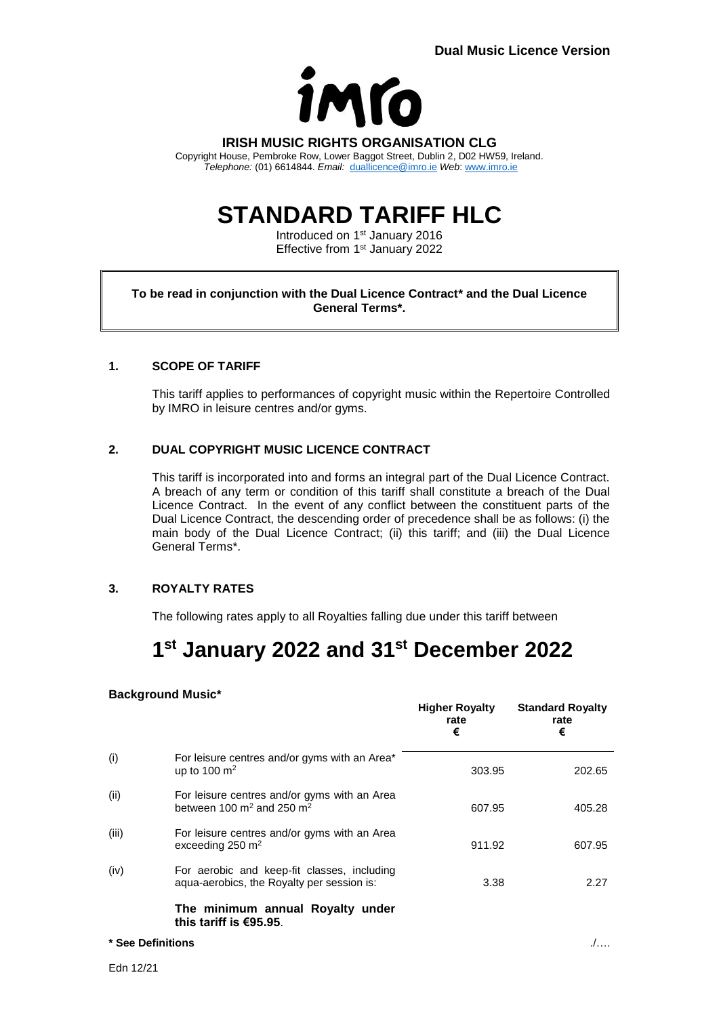

**IRISH MUSIC RIGHTS ORGANISATION CLG** Copyright House, Pembroke Row, Lower Baggot Street, Dublin 2, D02 HW59, Ireland. *Telephone:* (01) 6614844. *Email:* [duallicence@imro.ie](mailto:duallicence@imro.ie) *Web*: [www.imro.ie](http://www.imro.ie/)

# **STANDARD TARIFF HLC**

Introduced on 1<sup>st</sup> January 2016 Effective from 1<sup>st</sup> January 2022

#### **To be read in conjunction with the Dual Licence Contract\* and the Dual Licence General Terms\*.**

#### **1. SCOPE OF TARIFF**

This tariff applies to performances of copyright music within the Repertoire Controlled by IMRO in leisure centres and/or gyms.

#### **2. DUAL COPYRIGHT MUSIC LICENCE CONTRACT**

This tariff is incorporated into and forms an integral part of the Dual Licence Contract. A breach of any term or condition of this tariff shall constitute a breach of the Dual Licence Contract. In the event of any conflict between the constituent parts of the Dual Licence Contract, the descending order of precedence shall be as follows: (i) the main body of the Dual Licence Contract; (ii) this tariff; and (iii) the Dual Licence General Terms\*.

### **3. ROYALTY RATES**

The following rates apply to all Royalties falling due under this tariff between

## **1 st January 2022 and 31st December 2022**

#### **Background Music\***

|                   |                                                                                                   | <b>Higher Royalty</b><br>rate<br>€ | <b>Standard Royalty</b><br>rate<br>€ |
|-------------------|---------------------------------------------------------------------------------------------------|------------------------------------|--------------------------------------|
| (i)               | For leisure centres and/or gyms with an Area*<br>up to 100 $\mathrm{m}^2$                         | 303.95                             | 202.65                               |
| (ii)              | For leisure centres and/or gyms with an Area<br>between 100 $\mathrm{m}^2$ and 250 $\mathrm{m}^2$ | 607.95                             | 405.28                               |
| (iii)             | For leisure centres and/or gyms with an Area<br>exceeding $250 \text{ m}^2$                       | 911.92                             | 607.95                               |
| (iv)              | For aerobic and keep-fit classes, including<br>aqua-aerobics, the Royalty per session is:         | 3.38                               | 2.27                                 |
|                   | The minimum annual Royalty under<br>this tariff is €95.95.                                        |                                    |                                      |
| * See Definitions |                                                                                                   |                                    |                                      |